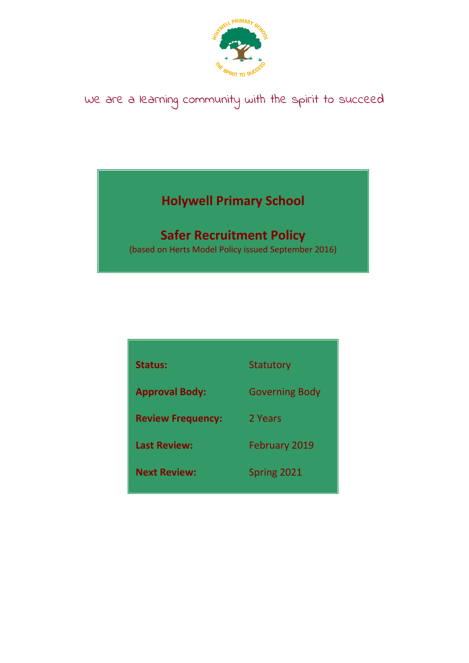

# We are a learning community with the spirit to succeed

## **Holywell Primary School**

### **Safer Recruitment Policy**

(based on Herts Model Policy issued September 2016)

| <b>Status:</b>           | Statutory             |
|--------------------------|-----------------------|
| <b>Approval Body:</b>    | <b>Governing Body</b> |
| <b>Review Frequency:</b> | 2 Years               |
| <b>Last Review:</b>      | <b>February 2019</b>  |
| <b>Next Review:</b>      | Spring 2021           |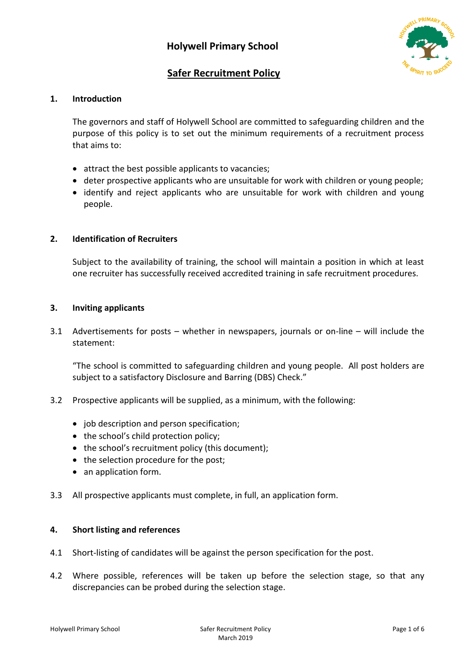

### **Safer Recruitment Policy**

#### **1. Introduction**

The governors and staff of Holywell School are committed to safeguarding children and the purpose of this policy is to set out the minimum requirements of a recruitment process that aims to:

- attract the best possible applicants to vacancies;
- deter prospective applicants who are unsuitable for work with children or young people;
- identify and reject applicants who are unsuitable for work with children and young people.

#### **2. Identification of Recruiters**

Subject to the availability of training, the school will maintain a position in which at least one recruiter has successfully received accredited training in safe recruitment procedures.

#### **3. Inviting applicants**

3.1 Advertisements for posts – whether in newspapers, journals or on-line – will include the statement:

"The school is committed to safeguarding children and young people. All post holders are subject to a satisfactory Disclosure and Barring (DBS) Check."

- 3.2 Prospective applicants will be supplied, as a minimum, with the following:
	- job description and person specification;
	- the school's child protection policy;
	- the school's recruitment policy (this document);
	- the selection procedure for the post;
	- an application form.
- 3.3 All prospective applicants must complete, in full, an application form.

#### **4. Short listing and references**

- 4.1 Short-listing of candidates will be against the person specification for the post.
- 4.2 Where possible, references will be taken up before the selection stage, so that any discrepancies can be probed during the selection stage.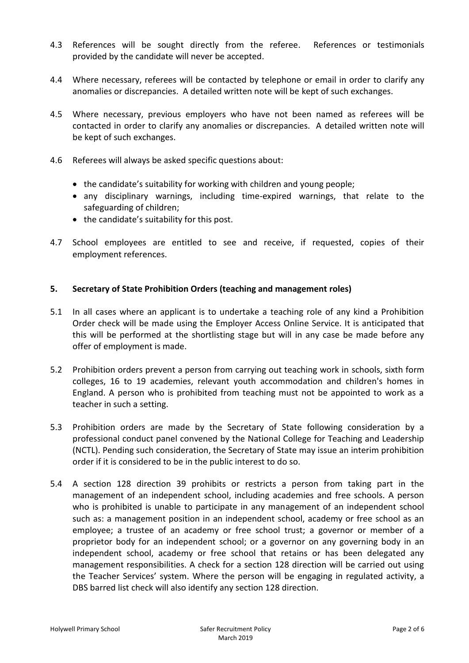- 4.3 References will be sought directly from the referee. References or testimonials provided by the candidate will never be accepted.
- 4.4 Where necessary, referees will be contacted by telephone or email in order to clarify any anomalies or discrepancies. A detailed written note will be kept of such exchanges.
- 4.5 Where necessary, previous employers who have not been named as referees will be contacted in order to clarify any anomalies or discrepancies. A detailed written note will be kept of such exchanges.
- 4.6 Referees will always be asked specific questions about:
	- the candidate's suitability for working with children and young people;
	- any disciplinary warnings, including time-expired warnings, that relate to the safeguarding of children;
	- the candidate's suitability for this post.
- 4.7 School employees are entitled to see and receive, if requested, copies of their employment references.

#### **5. Secretary of State Prohibition Orders (teaching and management roles)**

- 5.1 In all cases where an applicant is to undertake a teaching role of any kind a Prohibition Order check will be made using the Employer Access Online Service. It is anticipated that this will be performed at the shortlisting stage but will in any case be made before any offer of employment is made.
- 5.2 Prohibition orders prevent a person from carrying out teaching work in schools, sixth form colleges, 16 to 19 academies, relevant youth accommodation and children's homes in England. A person who is prohibited from teaching must not be appointed to work as a teacher in such a setting.
- 5.3 Prohibition orders are made by the Secretary of State following consideration by a professional conduct panel convened by the National College for Teaching and Leadership (NCTL). Pending such consideration, the Secretary of State may issue an interim prohibition order if it is considered to be in the public interest to do so.
- 5.4 A section 128 direction 39 prohibits or restricts a person from taking part in the management of an independent school, including academies and free schools. A person who is prohibited is unable to participate in any management of an independent school such as: a management position in an independent school, academy or free school as an employee; a trustee of an academy or free school trust; a governor or member of a proprietor body for an independent school; or a governor on any governing body in an independent school, academy or free school that retains or has been delegated any management responsibilities. A check for a section 128 direction will be carried out using the Teacher Services' system. Where the person will be engaging in regulated activity, a DBS barred list check will also identify any section 128 direction.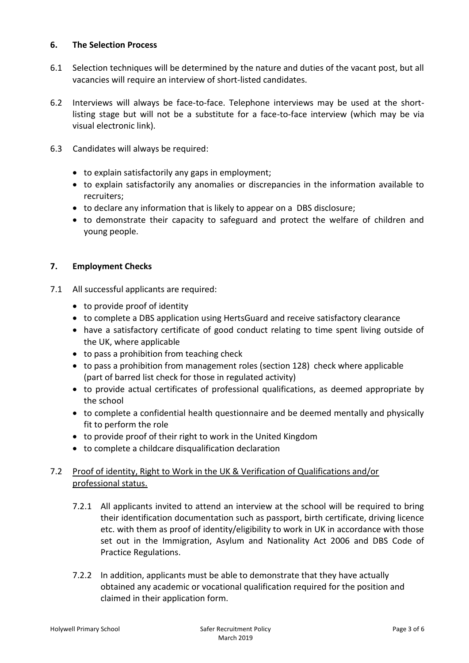#### **6. The Selection Process**

- 6.1 Selection techniques will be determined by the nature and duties of the vacant post, but all vacancies will require an interview of short-listed candidates.
- 6.2 Interviews will always be face-to-face. Telephone interviews may be used at the shortlisting stage but will not be a substitute for a face-to-face interview (which may be via visual electronic link).
- 6.3 Candidates will always be required:
	- to explain satisfactorily any gaps in employment;
	- to explain satisfactorily any anomalies or discrepancies in the information available to recruiters;
	- to declare any information that is likely to appear on a DBS disclosure;
	- to demonstrate their capacity to safeguard and protect the welfare of children and young people.

#### **7. Employment Checks**

- 7.1 All successful applicants are required:
	- to provide proof of identity
	- to complete a DBS application using HertsGuard and receive satisfactory clearance
	- have a satisfactory certificate of good conduct relating to time spent living outside of the UK, where applicable
	- to pass a prohibition from teaching check
	- to pass a prohibition from management roles (section 128) check where applicable (part of barred list check for those in regulated activity)
	- to provide actual certificates of professional qualifications, as deemed appropriate by the school
	- to complete a confidential health questionnaire and be deemed mentally and physically fit to perform the role
	- to provide proof of their right to work in the United Kingdom
	- to complete a childcare disqualification declaration

#### 7.2 Proof of identity, Right to Work in the UK & Verification of Qualifications and/or professional status.

- 7.2.1 All applicants invited to attend an interview at the school will be required to bring their identification documentation such as passport, birth certificate, driving licence etc. with them as proof of identity/eligibility to work in UK in accordance with those set out in the Immigration, Asylum and Nationality Act 2006 and DBS Code of Practice Regulations.
- 7.2.2 In addition, applicants must be able to demonstrate that they have actually obtained any academic or vocational qualification required for the position and claimed in their application form.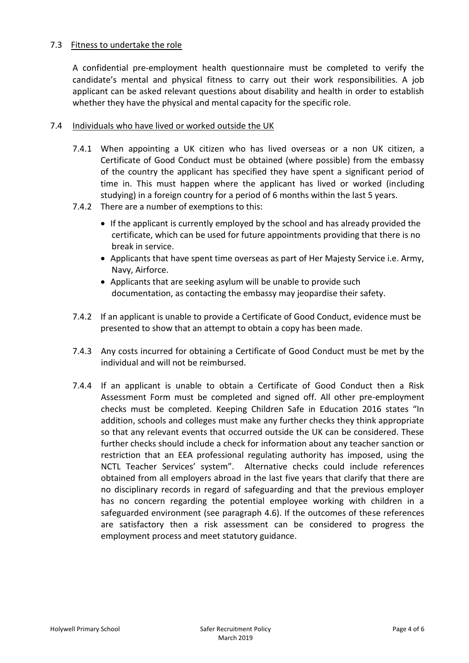#### 7.3Fitness to undertake the role

A confidential pre-employment health questionnaire must be completed to verify the candidate's mental and physical fitness to carry out their work responsibilities. A job applicant can be asked relevant questions about disability and health in order to establish whether they have the physical and mental capacity for the specific role.

#### 7.4 Individuals who have lived or worked outside the UK

- 7.4.1 When appointing a UK citizen who has lived overseas or a non UK citizen, a Certificate of Good Conduct must be obtained (where possible) from the embassy of the country the applicant has specified they have spent a significant period of time in. This must happen where the applicant has lived or worked (including studying) in a foreign country for a period of 6 months within the last 5 years.
- 7.4.2 There are a number of exemptions to this:
	- If the applicant is currently employed by the school and has already provided the certificate, which can be used for future appointments providing that there is no break in service.
	- Applicants that have spent time overseas as part of Her Majesty Service i.e. Army, Navy, Airforce.
	- Applicants that are seeking asylum will be unable to provide such documentation, as contacting the embassy may jeopardise their safety.
- 7.4.2 If an applicant is unable to provide a Certificate of Good Conduct, evidence must be presented to show that an attempt to obtain a copy has been made.
- 7.4.3 Any costs incurred for obtaining a Certificate of Good Conduct must be met by the individual and will not be reimbursed.
- 7.4.4 If an applicant is unable to obtain a Certificate of Good Conduct then a Risk Assessment Form must be completed and signed off. All other pre-employment checks must be completed. Keeping Children Safe in Education 2016 states "In addition, schools and colleges must make any further checks they think appropriate so that any relevant events that occurred outside the UK can be considered. These further checks should include a check for information about any teacher sanction or restriction that an EEA professional regulating authority has imposed, using the NCTL Teacher Services' system". Alternative checks could include references obtained from all employers abroad in the last five years that clarify that there are no disciplinary records in regard of safeguarding and that the previous employer has no concern regarding the potential employee working with children in a safeguarded environment (see paragraph 4.6). If the outcomes of these references are satisfactory then a risk assessment can be considered to progress the employment process and meet statutory guidance.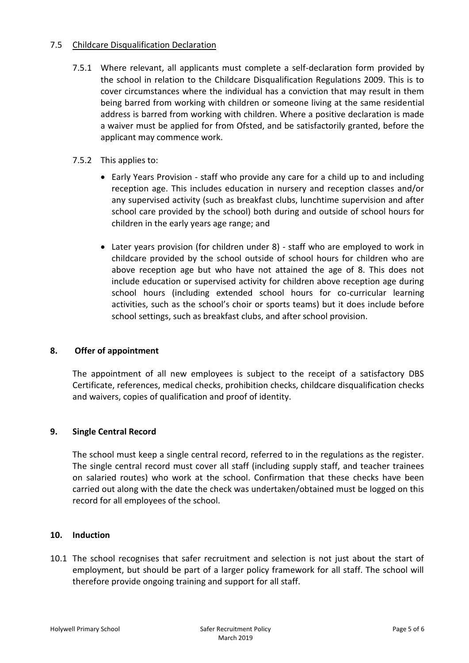#### 7.5 Childcare Disqualification Declaration

- 7.5.1 Where relevant, all applicants must complete a self-declaration form provided by the school in relation to the Childcare Disqualification Regulations 2009. This is to cover circumstances where the individual has a conviction that may result in them being barred from working with children or someone living at the same residential address is barred from working with children. Where a positive declaration is made a waiver must be applied for from Ofsted, and be satisfactorily granted, before the applicant may commence work.
- 7.5.2 This applies to:
	- Early Years Provision staff who provide any care for a child up to and including reception age. This includes education in nursery and reception classes and/or any supervised activity (such as breakfast clubs, lunchtime supervision and after school care provided by the school) both during and outside of school hours for children in the early years age range; and
	- Later years provision (for children under 8) staff who are employed to work in childcare provided by the school outside of school hours for children who are above reception age but who have not attained the age of 8. This does not include education or supervised activity for children above reception age during school hours (including extended school hours for co-curricular learning activities, such as the school's choir or sports teams) but it does include before school settings, such as breakfast clubs, and after school provision.

#### **8. Offer of appointment**

The appointment of all new employees is subject to the receipt of a satisfactory DBS Certificate, references, medical checks, prohibition checks, childcare disqualification checks and waivers, copies of qualification and proof of identity.

#### **9. Single Central Record**

The school must keep a single central record, referred to in the regulations as the register. The single central record must cover all staff (including supply staff, and teacher trainees on salaried routes) who work at the school. Confirmation that these checks have been carried out along with the date the check was undertaken/obtained must be logged on this record for all employees of the school.

#### **10. Induction**

10.1 The school recognises that safer recruitment and selection is not just about the start of employment, but should be part of a larger policy framework for all staff. The school will therefore provide ongoing training and support for all staff.